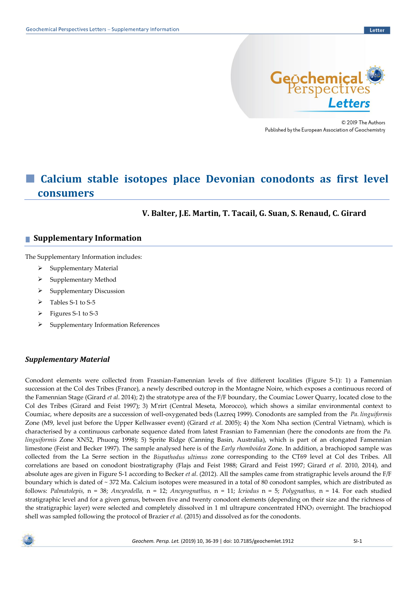

© 2019 The Authors Published by the European Association of Geochemistry

# ■ Calcium stable isotopes place Devonian conodonts as first level **consumers**

**V. Balter, J.E. Martin, T. Tacail, G. Suan, S. Renaud, C. Girard**

# **■ Supplementary Information**

The Supplementary Information includes:

- $\triangleright$  Supplementary Material
- ➢ Supplementary Method
- ➢ Supplementary Discussion
- ➢ Tables S-1 to S-5
- ➢ Figures S-1 to S-3
- ➢ Supplementary Information References

# *Supplementary Material*

Conodont elements were collected from Frasnian-Famennian levels of five different localities (Figure S-1): 1) a Famennian succession at the Col des Tribes (France), a newly described outcrop in the Montagne Noire, which exposes a continuous record of the Famennian Stage (Girard *et al*. 2014); 2) the stratotype area of the F/F boundary, the Coumiac Lower Quarry, located close to the Col des Tribes (Girard and Feist 1997); 3) M'rirt (Central Meseta, Morocco), which shows a similar environmental context to Coumiac, where deposits are a succession of well-oxygenated beds (Lazreq 1999). Conodonts are sampled from the *Pa. linguiformis* Zone (M9, level just before the Upper Kellwasser event) (Girard *et al.* 2005); 4) the Xom Nha section (Central Vietnam), which is characterised by a continuous carbonate sequence dated from latest Frasnian to Famennian (here the conodonts are from the *Pa. linguiformis* Zone XN52, Phuong 1998); 5) Sprite Ridge (Canning Basin, Australia), which is part of an elongated Famennian limestone (Feist and Becker 1997). The sample analysed here is of the *Early rhomboidea* Zone. In addition, a brachiopod sample was collected from the La Serre section in the *Bispathodus ultimus* zone corresponding to the CT69 level at Col des Tribes. All correlations are based on conodont biostratigraphy (Flajs and Feist 1988; Girard and Feist 1997; Girard *et al.* 2010, 2014), and absolute ages are given in Figure S-1 according to Becker *et al*. (2012). All the samples came from stratigraphic levels around the F/F boundary which is dated of ~ 372 Ma. Calcium isotopes were measured in a total of 80 conodont samples, which are distributed as follows: *Palmatolepis,* n = 38; *Ancyrodella,* n = 12; *Ancyrognathus,* n = 11; *Icriodus* n = 5; *Polygnathus,* n = 14. For each studied stratigraphic level and for a given genus, between five and twenty conodont elements (depending on their size and the richness of the stratigraphic layer) were selected and completely dissolved in 1 ml ultrapure concentrated HNO<sup>3</sup> overnight. The brachiopod shell was sampled following the protocol of Brazier *et al*. (2015) and dissolved as for the conodonts.

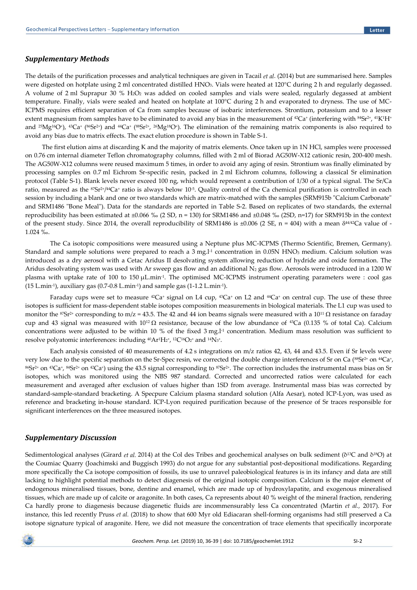#### *Supplementary Methods*

The details of the purification processes and analytical techniques are given in Tacail *et al*. (2014) but are summarised here. Samples were digested on hotplate using 2 ml concentrated distilled HNO3. Vials were heated at 120°C during 2 h and regularly degassed. A volume of 2 ml Suprapur 30 % H2O<sup>2</sup> was added on cooled samples and vials were sealed, regularly degassed at ambient temperature. Finally, vials were sealed and heated on hotplate at 100°C during 2 h and evaporated to dryness. The use of MC-ICPMS requires efficient separation of Ca from samples because of isobaric interferences. Strontium, potassium and to a lesser extent magnesium from samples have to be eliminated to avoid any bias in the measurement of <sup>42</sup>Ca<sup>+</sup> (interfering with <sup>84</sup>Sr<sup>2+</sup>, <sup>41</sup>K<sup>1</sup>H<sup>+</sup> and <sup>25</sup>Mg<sup>16</sup>O<sup>+</sup>), <sup>43</sup>Ca<sup>+</sup> (<sup>86</sup>Sr<sup>2+</sup>) and <sup>44</sup>Ca<sup>+</sup> (<sup>88</sup>Sr<sup>2+</sup>, <sup>26</sup>Mg<sup>18</sup>O<sup>+</sup>). The elimination of the remaining matrix components is also required to avoid any bias due to matrix effects. The exact elution procedure is shown in Table S-1.

The first elution aims at discarding K and the majority of matrix elements. Once taken up in 1N HCl, samples were processed on 0.76 cm internal diameter Teflon chromatography columns, filled with 2 ml of Biorad AG50W-X12 cationic resin, 200-400 mesh. The AG50W-X12 columns were reused maximum 5 times, in order to avoid any aging of resin. Strontium was finally eliminated by processing samples on 0.7 ml Eichrom Sr-specific resin, packed in 2 ml Eichrom columns, following a classical Sr elimination protocol (Table S-1). Blank levels never exceed 100 ng, which would represent a contribution of 1/30 of a typical signal. The Sr/Ca ratio, measured as the 87Sr2+/44Ca+ ratio is always below 10<sup>-5</sup>. Quality control of the Ca chemical purification is controlled in each session by including a blank and one or two standards which are matrix-matched with the samples (SRM915b "Calcium Carbonate" and SRM1486 "Bone Meal"). Data for the standards are reported in Table S-2. Based on replicates of two standards, the external reproducibility has been estimated at ±0.066 ‰ (2 SD, n = 130) for SRM1486 and ±0.048 ‰ (2SD, n=17) for SRM915b in the context of the present study. Since 2014, the overall reproducibility of SRM1486 is  $\pm 0.006$  (2 SE, n = 404) with a mean  $\delta^{44/42}$ Ca value of -1.024 ‰.

The Ca isotopic compositions were measured using a Neptune plus MC-ICPMS (Thermo Scientific, Bremen, Germany). Standard and sample solutions were prepared to reach a 3 mg.<sup>11</sup> concentration in 0.05N HNO<sub>3</sub> medium. Calcium solution was introduced as a dry aerosol with a Cetac Aridus II desolvating system allowing reduction of hydride and oxide formation. The Aridus desolvating system was used with Ar sweep gas flow and an additional N<sub>2</sub> gas flow. Aerosols were introduced in a 1200 W plasma with uptake rate of 100 to 150 µL.min-1 . The optimised MC-ICPMS instrument operating parameters were : cool gas  $(15 \text{ L.min-1})$ , auxiliary gas  $(0.7{\text -}0.8 \text{ L.min-1})$  and sample gas  $(1{\text -}1.2 \text{ L.min-1})$ .

Faraday cups were set to measure <sup>42</sup>Ca<sup>+</sup> signal on L4 cup, <sup>43</sup>Ca<sup>+</sup> on L2 and <sup>44</sup>Ca<sup>+</sup> on central cup. The use of these three isotopes is sufficient for mass-dependent stable isotopes composition measurements in biological materials. The L1 cup was used to monitor the <sup>87</sup>Sr<sup>2+</sup> corresponding to m/z = 43.5. The 42 and 44 ion beams signals were measured with a 10<sup>11</sup>  $\Omega$  resistance on faraday cup and 43 signal was measured with  $10^{12} \Omega$  resistance, because of the low abundance of <sup>43</sup>Ca (0.135 % of total Ca). Calcium concentrations were adjusted to be within 10 % of the fixed  $3$  mg.l<sup>1</sup> concentration. Medium mass resolution was sufficient to resolve polyatomic interferences: including  $^{40}\mathrm{Ar^1H_2^*}$ , 12C16O2+ and 14N3+.

Each analysis consisted of 40 measurements of 4.2 s integrations on m/z ratios 42, 43, 44 and 43.5. Even if Sr levels were very low due to the specific separation on the Sr-Spec resin, we corrected the double charge interferences of Sr on Ca (<sup>88</sup>Sr<sup>2+</sup> on <sup>44</sup>Ca<sup>+</sup>, <sup>86</sup>Sr2+ on 43Ca<sup>+</sup> , <sup>84</sup>Sr2+ on 42Ca<sup>+</sup> ) using the 43.5 signal corresponding to 87Sr2+ . The correction includes the instrumental mass bias on Sr isotopes, which was monitored using the NBS 987 standard. Corrected and uncorrected ratios were calculated for each measurement and averaged after exclusion of values higher than 1SD from average. Instrumental mass bias was corrected by standard-sample-standard bracketing. A Specpure Calcium plasma standard solution (Alfa Aesar), noted ICP-Lyon, was used as reference and bracketing in-house standard. ICP-Lyon required purification because of the presence of Sr traces responsible for significant interferences on the three measured isotopes.

#### *Supplementary Discussion*

Sedimentological analyses (Girard *et al.* 2014) at the Col des Tribes and geochemical analyses on bulk sediment (δ13C and δ18O) at the Coumiac Quarry (Joachimski and Buggisch 1993) do not argue for any substantial post-depositional modifications. Regarding more specifically the Ca isotope composition of fossils, its use to unravel paleobiological features is in its infancy and data are still lacking to highlight potential methods to detect diagenesis of the original isotopic composition. Calcium is the major element of endogenous mineralised tissues, bone, dentine and enamel, which are made up of hydroxylapatite, and exogenous mineralised tissues, which are made up of calcite or aragonite. In both cases, Ca represents about 40 % weight of the mineral fraction, rendering Ca hardly prone to diagenesis because diagenetic fluids are incommensurably less Ca concentrated (Martin *et al.,* 2017). For instance, this led recently Pruss *et al.* (2018) to show that 600 Myr old Ediacaran shell-forming organisms had still preserved a Ca isotope signature typical of aragonite. Here, we did not measure the concentration of trace elements that specifically incorporate

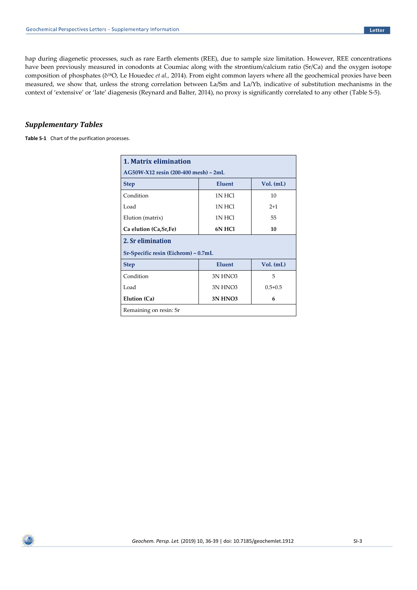hap during diagenetic processes, such as rare Earth elements (REE), due to sample size limitation. However, REE concentrations have been previously measured in conodonts at Coumiac along with the strontium/calcium ratio (Sr/Ca) and the oxygen isotope composition of phosphates (δ18O, Le Houedec *et al.,* 2014). From eight common layers where all the geochemical proxies have been measured, we show that, unless the strong correlation between La/Sm and La/Yb, indicative of substitution mechanisms in the context of 'extensive' or 'late' diagenesis (Reynard and Balter, 2014), no proxy is significantly correlated to any other (Table S-5).

## *Supplementary Tables*

**Table S-1** Chart of the purification processes.

| 1. Matrix elimination                          |                     |             |  |  |  |  |  |  |
|------------------------------------------------|---------------------|-------------|--|--|--|--|--|--|
| AG50W-X12 resin (200-400 mesh) ~ 2mL           |                     |             |  |  |  |  |  |  |
| Eluent<br>Vol. (mL)<br><b>Step</b>             |                     |             |  |  |  |  |  |  |
| Condition<br>1N HCl<br>10                      |                     |             |  |  |  |  |  |  |
| Load                                           | 1N HCl              | $2+1$       |  |  |  |  |  |  |
| Elution (matrix)                               | 1N HCl              | 55          |  |  |  |  |  |  |
| <b>6N HCI</b><br>Ca elution (Ca, Sr, Fe)<br>10 |                     |             |  |  |  |  |  |  |
| 2. Sr elimination                              |                     |             |  |  |  |  |  |  |
| Sr-Specific resin (Eichrom) ~ 0.7mL            |                     |             |  |  |  |  |  |  |
| <b>Step</b>                                    | Eluent              | $Vol.$ (mL) |  |  |  |  |  |  |
| Condition                                      | 3N HNO3             | 5           |  |  |  |  |  |  |
| Load                                           | 3N HNO <sub>3</sub> | $0.5 + 0.5$ |  |  |  |  |  |  |
| Elution (Ca)<br><b>3N HNO3</b><br>6            |                     |             |  |  |  |  |  |  |
| Remaining on resin: Sr                         |                     |             |  |  |  |  |  |  |

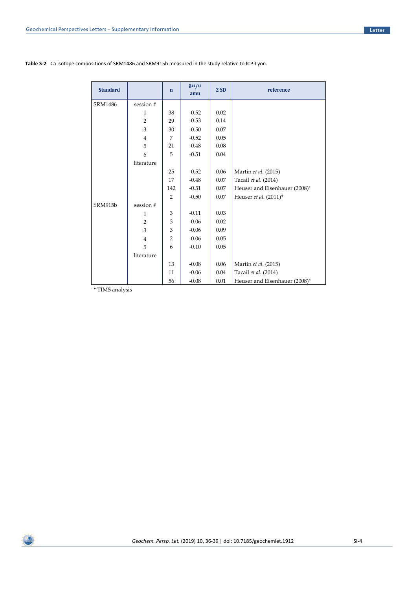| <b>Standard</b> |                | $\mathbf n$    | $\delta^{44}/^{42}$<br>amu | 2SD  | reference                     |
|-----------------|----------------|----------------|----------------------------|------|-------------------------------|
| SRM1486         | session #      |                |                            |      |                               |
|                 | 1              | 38             | $-0.52$                    | 0.02 |                               |
|                 | $\overline{2}$ | 29             | $-0.53$                    | 0.14 |                               |
|                 | 3              | 30             | $-0.50$                    | 0.07 |                               |
|                 | $\overline{4}$ | 7              | $-0.52$                    | 0.05 |                               |
|                 | 5              | 21             | $-0.48$                    | 0.08 |                               |
|                 | 6              | 5              | $-0.51$                    | 0.04 |                               |
|                 | literature     |                |                            |      |                               |
|                 |                | 25             | $-0.52$                    | 0.06 | Martin et al. (2015)          |
|                 |                | 17             | $-0.48$                    | 0.07 | Tacail et al. (2014)          |
|                 |                | 142            | $-0.51$                    | 0.07 | Heuser and Eisenhauer (2008)* |
|                 |                | 2              | $-0.50$                    | 0.07 | Heuser et al. (2011)*         |
| SRM915b         | session #      |                |                            |      |                               |
|                 | $\mathbf{1}$   | 3              | $-0.11$                    | 0.03 |                               |
|                 | $\overline{2}$ | 3              | $-0.06$                    | 0.02 |                               |
|                 | 3              | 3              | $-0.06$                    | 0.09 |                               |
|                 | $\overline{4}$ | $\overline{2}$ | $-0.06$                    | 0.05 |                               |
|                 | 5              | 6              | $-0.10$                    | 0.05 |                               |
|                 | literature     |                |                            |      |                               |
|                 |                | 13             | $-0.08$                    | 0.06 | Martin et al. (2015)          |
|                 |                | 11             | $-0.06$                    | 0.04 | Tacail et al. (2014)          |
|                 |                | 56             | $-0.08$                    | 0.01 | Heuser and Eisenhauer (2008)* |

**Table S-2** Ca isotope compositions of SRM1486 and SRM915b measured in the study relative to ICP-Lyon.

\* TIMS analysis

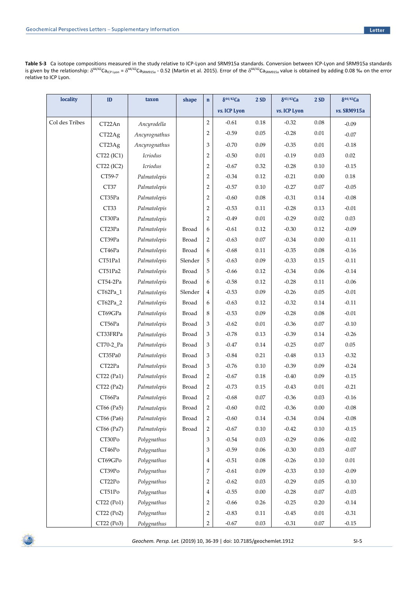**Table S-3** Ca isotope compositions measured in the study relative to ICP-Lyon and SRM915a standards. Conversion between ICP-Lyon and SRM915a standards is given by the relationship:  $\delta^{44/42}$ Ca<sub>ICP Lyon</sub> =  $\delta^{44/42}$ Ca<sub>SRM915a</sub> - 0.52 (Martin et al. 2015). Error of the  $\delta^{44/42}$ Ca<sub>SRM915a</sub> value is obtained by adding 0.08 ‰ on the error relative to ICP Lyon.

| <b>locality</b> | ID         | taxon         | shape        | $\mathbf{n}$   | $\delta$ <sup>44/42</sup> Ca | 2SD      | $\delta^{43/42}$ Ca | 2SD      | $\delta^{44/42}$ Ca |
|-----------------|------------|---------------|--------------|----------------|------------------------------|----------|---------------------|----------|---------------------|
|                 |            |               |              |                | <i>vs.</i> ICP Lyon          |          | vs. ICP Lyon        |          | vs. SRM915a         |
| Col des Tribes  | CT22An     | Ancyrodella   |              | $\overline{c}$ | $-0.61$                      | 0.18     | $-0.32$             | 0.08     | $-0.09$             |
|                 | CT22Ag     | Ancyrognathus |              | 2              | $-0.59$                      | $0.05\,$ | $-0.28$             | 0.01     | $-0.07$             |
|                 | CT23Ag     | Ancyrognathus |              | 3              | $-0.70$                      | 0.09     | $-0.35$             | $0.01\,$ | $-0.18$             |
|                 | CT22 (IC1) | Icriodus      |              | $\overline{c}$ | $-0.50$                      | $0.01\,$ | $-0.19$             | 0.03     | 0.02                |
|                 | CT22 (IC2) | Icriodus      |              | 2              | $-0.67$                      | 0.32     | $-0.28$             | $0.10\,$ | $-0.15$             |
|                 | CT59-7     | Palmatolepis  |              | $\overline{c}$ | $-0.34$                      | 0.12     | $-0.21$             | 0.00     | 0.18                |
|                 | CT37       | Palmatolepis  |              | 2              | $-0.57$                      | $0.10\,$ | $-0.27$             | $0.07\,$ | $-0.05$             |
|                 | CT35Pa     | Palmatolepis  |              | $\overline{2}$ | $-0.60$                      | $0.08\,$ | $-0.31$             | 0.14     | $-0.08$             |
|                 | CT33       | Palmatolepis  |              | 2              | $-0.53$                      | 0.11     | $-0.28$             | 0.13     | $-0.01$             |
|                 | CT30Pa     | Palmatolepis  |              | $\overline{c}$ | $-0.49$                      | $0.01\,$ | $-0.29$             | 0.02     | 0.03                |
|                 | CT23Pa     | Palmatolepis  | <b>Broad</b> | 6              | $-0.61$                      | 0.12     | $-0.30$             | 0.12     | $-0.09$             |
|                 | CT39Pa     | Palmatolepis  | Broad        | 2              | $-0.63$                      | 0.07     | $-0.34$             | 0.00     | $-0.11$             |
|                 | CT46Pa     | Palmatolepis  | Broad        | 6              | $-0.68$                      | 0.11     | $-0.35$             | $0.08\,$ | $-0.16$             |
|                 | CT51Pa1    | Palmatolepis  | Slender      | 5              | $-0.63$                      | 0.09     | $-0.33$             | 0.15     | $-0.11$             |
|                 | CT51Pa2    | Palmatolepis  | Broad        | 5              | $-0.66$                      | 0.12     | $-0.34$             | $0.06\,$ | $-0.14$             |
|                 | CT54-2Pa   | Palmatolepis  | Broad        | 6              | $-0.58$                      | 0.12     | $-0.28$             | 0.11     | $-0.06$             |
|                 | CT62Pa_1   | Palmatolepis  | Slender      | 4              | $-0.53$                      | 0.09     | $-0.26$             | $0.05\,$ | $-0.01$             |
|                 | CT62Pa_2   | Palmatolepis  | Broad        | 6              | $-0.63$                      | 0.12     | $-0.32$             | 0.14     | $-0.11$             |
|                 | CT69GPa    | Palmatolepis  | Broad        | 8              | $-0.53$                      | 0.09     | $-0.28$             | $0.08\,$ | $-0.01$             |
|                 | CT56Pa     | Palmatolepis  | Broad        | 3              | $-0.62$                      | 0.01     | $-0.36$             | 0.07     | $-0.10$             |
|                 | CT33FRPa   | Palmatolepis  | Broad        | 3              | $-0.78$                      | 0.13     | $-0.39$             | 0.14     | $-0.26$             |
|                 | CT70-2_Pa  | Palmatolepis  | Broad        | 3              | $-0.47$                      | 0.14     | $-0.25$             | 0.07     | $0.05\,$            |
|                 | CT35Pa0    | Palmatolepis  | Broad        | 3              | $-0.84$                      | 0.21     | $-0.48$             | 0.13     | $-0.32$             |
|                 | CT22Pa     | Palmatolepis  | Broad        | 3              | $-0.76$                      | 0.10     | $-0.39$             | 0.09     | $-0.24$             |
|                 | CT22 (Pa1) | Palmatolepis  | Broad        | 2              | $-0.67$                      | $0.18\,$ | $-0.40$             | 0.09     | $-0.15$             |
|                 | CT22 (Pa2) | Palmatolepis  | Broad        | 2              | $-0.73$                      | 0.15     | $-0.43$             | 0.01     | $-0.21$             |
|                 | CT66Pa     | Palmatolepis  | Broad        | $\overline{2}$ | $-0.68$                      | 0.07     | $-0.36$             | 0.03     | $-0.16$             |
|                 | CT66 (Pa5) | Palmatolepis  | Broad        | $\overline{2}$ | $-0.60$                      | 0.02     | $-0.36$             | $0.00\,$ | $-0.08$             |
|                 | CT66 (Pa6) | Palmatolepis  | Broad        | $\overline{2}$ | $-0.60$                      | $0.14\,$ | $-0.34$             | $0.04\,$ | $-0.08$             |
|                 | CT66 (Pa7) | Palmatolepis  | <b>Broad</b> | $\overline{2}$ | $-0.67$                      | $0.10\,$ | $-0.42$             | $0.10\,$ | $-0.15$             |
|                 | CT30Po     | Polygnathus   |              | 3              | $-0.54$                      | 0.03     | $-0.29$             | $0.06\,$ | $-0.02$             |
|                 | CT46Po     | Polygnathus   |              | 3              | $-0.59$                      | 0.06     | $-0.30$             | 0.03     | $-0.07$             |
|                 | CT69GPo    | Polygnathus   |              | 4              | $-0.51$                      | $0.08\,$ | $-0.26$             | $0.10\,$ | $0.01\,$            |
|                 | CT39Po     | Polygnathus   |              | 7              | $-0.61$                      | 0.09     | $-0.33$             | 0.10     | $-0.09$             |
|                 | CT22Po     | Polygnathus   |              | 2              | $-0.62$                      | 0.03     | $-0.29$             | $0.05\,$ | $-0.10$             |
|                 | CT51Po     | Polygnathus   |              | 4              | $-0.55$                      | $0.00\,$ | $-0.28$             | $0.07\,$ | $-0.03$             |
|                 | CT22 (Po1) | Polygnathus   |              | 2              | $-0.66$                      | $0.26\,$ | $-0.25$             | 0.20     | $-0.14$             |
|                 | CT22 (Po2) | Polygnathus   |              | 2              | $-0.83$                      | 0.11     | $-0.45$             | 0.01     | $-0.31$             |
|                 | CT22 (Po3) | Polygnathus   |              | $\overline{2}$ | $-0.67$                      | $0.03\,$ | $-0.31$             | $0.07\,$ | $-0.15$             |



*Geochem. Persp. Let.* (2019) 10, 36-39 | doi: 10.7185/geochemlet.1912 SI-5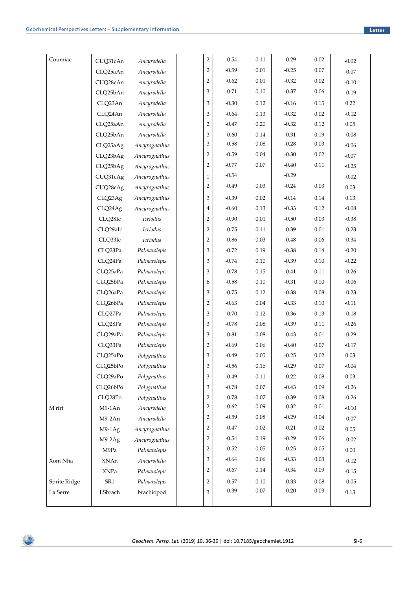| Coumiac        | CUQ31cAn | Ancyrodella   | $\overline{2}$ | $-0.54$ | 0.11     | $-0.29$ | 0.02     | $-0.02$  |
|----------------|----------|---------------|----------------|---------|----------|---------|----------|----------|
|                | CLQ25aAn | Ancyrodella   | $\overline{2}$ | $-0.59$ | $0.01\,$ | $-0.25$ | $0.07\,$ | $-0.07$  |
|                | CUQ28cAn | Ancyrodella   | 2              | $-0.62$ | 0.01     | $-0.32$ | 0.02     | $-0.10$  |
|                | CLQ25bAn | Ancyrodella   | 3              | $-0.71$ | 0.10     | $-0.37$ | 0.06     | $-0.19$  |
|                | CLQ23An  | Ancyrodella   | 3              | $-0.30$ | 0.12     | $-0.16$ | 0.15     | 0.22     |
|                | CLQ24An  | Ancyrodella   | 3              | $-0.64$ | 0.13     | $-0.32$ | 0.02     | $-0.12$  |
|                | CLQ25aAn | Ancyrodella   | $\overline{2}$ | $-0.47$ | 0.20     | $-0.32$ | 0.12     | 0.05     |
|                | CLQ25bAn | Ancyrodella   | 3              | $-0.60$ | 0.14     | $-0.31$ | 0.19     | $-0.08$  |
|                | CLQ25aAg | Ancyrognathus | 3              | $-0.58$ | 0.08     | $-0.28$ | 0.03     | $-0.06$  |
|                | CLQ23bAg | Ancyrognathus | $\overline{c}$ | $-0.59$ | 0.04     | $-0.30$ | 0.02     | $-0.07$  |
|                | CLQ25bAg | Ancyrognathus | $\overline{c}$ | $-0.77$ | 0.07     | $-0.40$ | $0.11\,$ | $-0.25$  |
|                | CUQ31cAg | Ancyrognathus | $\mathbf{1}$   | $-0.54$ |          | $-0.29$ |          | $-0.02$  |
|                | CUQ28cAg | Ancyrognathus | 2              | $-0.49$ | 0.03     | $-0.24$ | 0.03     | 0.03     |
|                | CLQ23Ag  | Ancyrognathus | 3              | $-0.39$ | 0.02     | $-0.14$ | 0.14     | 0.13     |
|                | CLQ24Ag  | Ancyrognathus | 4              | $-0.60$ | 0.13     | $-0.33$ | 0.12     | $-0.08$  |
|                | CLQ28Ic  | Icriodus      | $\overline{c}$ | $-0.90$ | 0.01     | $-0.50$ | 0.03     | $-0.38$  |
|                | CLQ29aIc | Icriodus      | $\overline{2}$ | $-0.75$ | 0.11     | $-0.39$ | $0.01\,$ | $-0.23$  |
|                | CLQ33Ic  | Icriodus      | $\overline{c}$ | $-0.86$ | 0.03     | $-0.48$ | 0.06     | $-0.34$  |
|                | CLQ23Pa  | Palmatolepis  | 3              | $-0.72$ | 0.19     | $-0.38$ | 0.14     | $-0.20$  |
|                | CLQ24Pa  | Palmatolepis  | 3              | $-0.74$ | 0.10     | $-0.39$ | 0.10     | $-0.22$  |
|                | CLQ25aPa | Palmatolepis  | 3              | $-0.78$ | 0.15     | $-0.41$ | 0.11     | $-0.26$  |
|                | CLQ25bPa | Palmatolepis  | 6              | $-0.58$ | 0.10     | $-0.31$ | 0.10     | $-0.06$  |
|                | CLQ26aPa | Palmatolepis  | 3              | $-0.75$ | 0.12     | $-0.38$ | 0.08     | $-0.23$  |
|                | CLQ26bPa | Palmatolepis  | $\overline{c}$ | $-0.63$ | $0.04\,$ | $-0.33$ | 0.10     | $-0.11$  |
|                | CLQ27Pa  | Palmatolepis  | 3              | $-0.70$ | 0.12     | $-0.36$ | 0.13     | $-0.18$  |
|                | CLQ28Pa  | Palmatolepis  | 3              | $-0.78$ | 0.08     | $-0.39$ | 0.11     | $-0.26$  |
|                | CLO29aPa | Palmatolepis  | 3              | $-0.81$ | $0.08\,$ | $-0.43$ | $0.01\,$ | $-0.29$  |
|                | CLQ33Pa  | Palmatolepis  | $\overline{c}$ | $-0.69$ | 0.06     | $-0.40$ | 0.07     | $-0.17$  |
|                | CLQ25aPo | Polygnathus   | 3              | $-0.49$ | 0.05     | $-0.25$ | 0.02     | 0.03     |
|                | CLQ25bPo | Polygnathus   | 3              | $-0.56$ | 0.16     | $-0.29$ | $0.07\,$ | $-0.04$  |
|                | CLQ29aPo | Polygnathus   | 3              | $-0.49$ | 0.11     | $-0.22$ | 0.08     | 0.03     |
|                | CLQ26bPo | Polygnathus   | 3              | $-0.78$ | $0.07\,$ | $-0.43$ | 0.09     | $-0.26$  |
|                | CLQ28Po  | Polygnathus   | 2              | $-0.78$ | 0.07     | $-0.39$ | $0.08\,$ | $-0.26$  |
| <b>M</b> 'rirt | M9-1An   | Ancyrodella   | 2              | $-0.62$ | 0.09     | $-0.32$ | $0.01\,$ | $-0.10$  |
|                | $M9-2An$ | Ancyrodella   | 2              | $-0.59$ | 0.08     | $-0.29$ | 0.04     | $-0.07$  |
|                | $M9-1Ag$ | Ancyrognathus | 2              | $-0.47$ | 0.02     | $-0.21$ | 0.02     | 0.05     |
|                | $M9-2Ag$ | Ancyrognathus | 2              | $-0.54$ | 0.19     | $-0.29$ | 0.06     | $-0.02$  |
|                | M9Pa     | Palmatolepis  | 2              | $-0.52$ | 0.05     | $-0.25$ | 0.05     | $0.00\,$ |
| Xom Nha        | XNAn     | Ancyrodella   | 3              | $-0.64$ | 0.06     | $-0.33$ | 0.03     | $-0.12$  |
|                | XNPa     | Palmatolepis  | 2              | $-0.67$ | 0.14     | $-0.34$ | 0.09     | $-0.15$  |
| Sprite Ridge   | SR1      | Palmatolepis  | 2              | $-0.57$ | $0.10\,$ | $-0.33$ | 0.08     | $-0.05$  |
| La Serre       | LSbrach  | brachiopod    | 3              | $-0.39$ | $0.07\,$ | $-0.20$ | 0.03     | 0.13     |
|                |          |               |                |         |          |         |          |          |

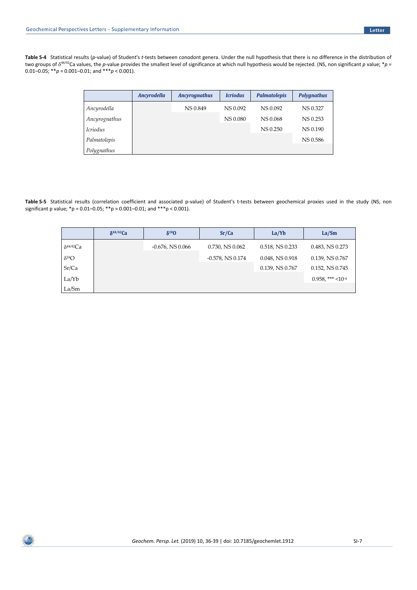**Table S-4** Statistical results (*p*-value) of Student's *t*-tests between conodont genera. Under the null hypothesis that there is no difference in the distribution of two groups of  $\delta^{44/42}$ Ca values, the *p*-value provides the smallest level of significance at which null hypothesis would be rejected. (NS, non significant *p* value; \**p* = 0.01–0.05;  $*^*p = 0.001$ –0.01; and  $*^*p < 0.001$ ).

|                               | <b>Ancyrodella</b> | <b>Ancyrognathus</b> | <b>Icriodus</b> | <b>Palmatolepis</b> | <b>Polygnathus</b> |
|-------------------------------|--------------------|----------------------|-----------------|---------------------|--------------------|
| Ancyrodella                   |                    | <b>NS0.849</b>       | NS 0.092        | NS 0.092            | NS 0.327           |
| Ancyrognathus                 |                    |                      | NS 0.080        | NS 0.068            | NS 0.253           |
| <i><u><b>Icriodus</b></u></i> |                    |                      |                 | <b>NS 0.250</b>     | NS 0.190           |
| Palmatolepis                  |                    |                      |                 |                     | NS 0.586           |
| Polygnathus                   |                    |                      |                 |                     |                    |

**Table S-5** Statistical results (correlation coefficient and associated p-value) of Student's t-tests between geochemical proxies used in the study (NS, non significant p value; \*p = 0.01–0.05; \*\*p = 0.001–0.01; and \*\*\*p < 0.001).

|                     | $\delta^{44/42}$ Ca | $\delta^{18}$ O       | Sr/Ca                 | La/Yb                | La/Sm                           |
|---------------------|---------------------|-----------------------|-----------------------|----------------------|---------------------------------|
| $\delta^{44/42}$ Ca |                     | $-0.676$ , NS $0.066$ | $0.730$ , NS $0.062$  | 0.518, NS 0.233      | $0.483$ , NS $0.273$            |
| $\delta^{18}O$      |                     |                       | $-0.578$ , NS $0.174$ | $0.048$ , NS $0.918$ | 0.139, NS 0.767                 |
| Sr/Ca               |                     |                       |                       | $0.139$ , NS $0.767$ | $0.152$ , NS $0.745$            |
| La/Yb               |                     |                       |                       |                      | $0.958$ , *** <10 <sup>-4</sup> |
| La/Sm               |                     |                       |                       |                      |                                 |

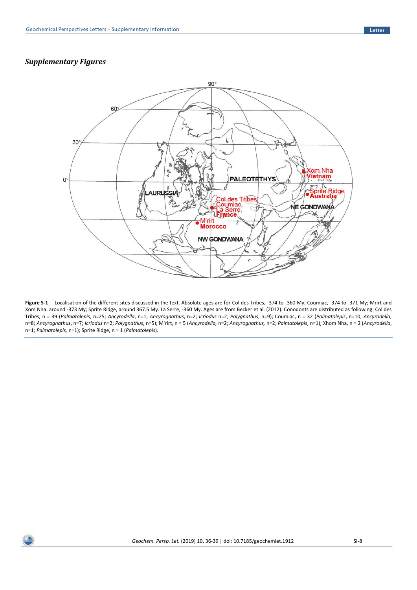## *Supplementary Figures*



**Figure S-1** Localisation of the different sites discussed in the text. Absolute ages are for Col des Tribes, -374 to -360 My; Coumiac, -374 to -371 My; Mrirt and Xom Nha: around -373 My; Sprite Ridge, around 367.5 My. La Serre, -360 My. Ages are from Becker et al. (2012). Conodonts are distributed as following: Col des Tribes, n = 39 (*Palmatolepis*, n=25; *Ancyrodella*, n=1; *Ancyrognathus*, n=2; *Icriodus* n=2; *Polygnathus*, n=9); Coumiac, n = 32 (*Palmatolepis*, n=10; *Ancyrodella*, n=8; *Ancyrognathus*, n=7; *Icriodus* n=2; *Polygnathus*, n=5); M'rirt, n = 5 (*Ancyrodella,* n=2; *Ancyrognathus,* n=2; *Palmatolepis*, n=1); Xhom Nha, n = 2 (*Ancyrodella*, n=1; *Palmatolepis,* n=1); Sprite Ridge, n = 1 (*Palmatolepis*)*.*

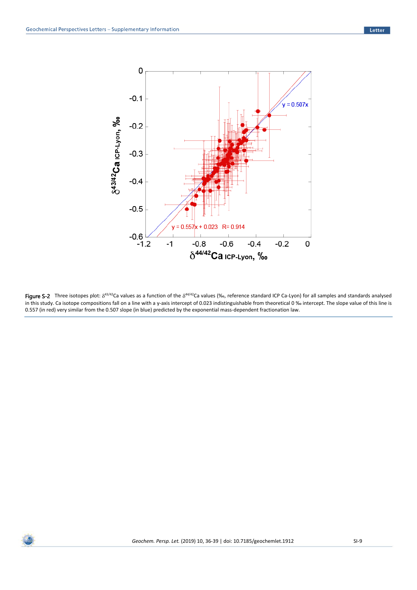

Figure S-2 Three isotopes plot:  $\delta^{43/42}$ Ca values as a function of the  $\delta^{44/42}$ Ca values (‰, reference standard ICP Ca-Lyon) for all samples and standards analysed in this study. Ca isotope compositions fall on a line with a y-axis intercept of 0.023 indistinguishable from theoretical 0 ‰ intercept. The slope value of this line is 0.557 (in red) very similar from the 0.507 slope (in blue) predicted by the exponential mass-dependent fractionation law.

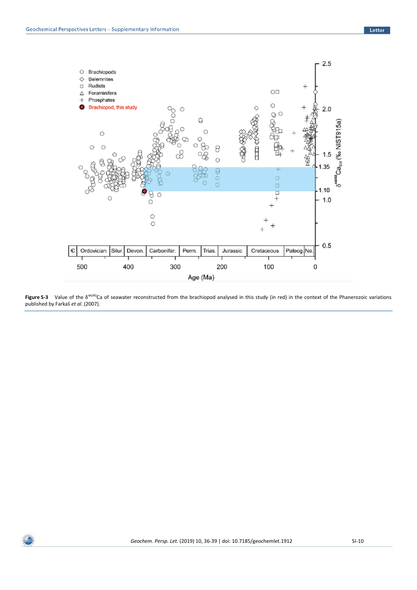

Figure S-3 Value of the δ<sup>44/40</sup>Ca of seawater reconstructed from the brachiopod analysed in this study (in red) in the context of the Phanerozoic variations published by Farkaš *et al*. (2007).